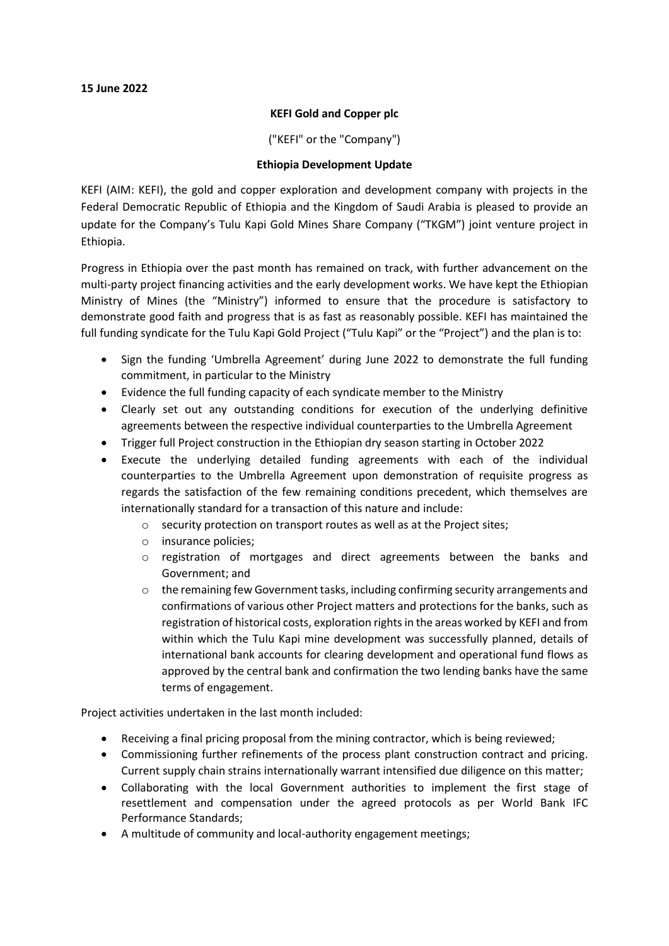### **KEFI Gold and Copper plc**

("KEFI" or the "Company")

# **Ethiopia Development Update**

KEFI (AIM: KEFI), the gold and copper exploration and development company with projects in the Federal Democratic Republic of Ethiopia and the Kingdom of Saudi Arabia is pleased to provide an update for the Company's Tulu Kapi Gold Mines Share Company ("TKGM") joint venture project in Ethiopia.

Progress in Ethiopia over the past month has remained on track, with further advancement on the multi-party project financing activities and the early development works. We have kept the Ethiopian Ministry of Mines (the "Ministry") informed to ensure that the procedure is satisfactory to demonstrate good faith and progress that is as fast as reasonably possible. KEFI has maintained the full funding syndicate for the Tulu Kapi Gold Project ("Tulu Kapi" or the "Project") and the plan is to:

- Sign the funding 'Umbrella Agreement' during June 2022 to demonstrate the full funding commitment, in particular to the Ministry
- Evidence the full funding capacity of each syndicate member to the Ministry
- Clearly set out any outstanding conditions for execution of the underlying definitive agreements between the respective individual counterparties to the Umbrella Agreement
- Trigger full Project construction in the Ethiopian dry season starting in October 2022
- Execute the underlying detailed funding agreements with each of the individual counterparties to the Umbrella Agreement upon demonstration of requisite progress as regards the satisfaction of the few remaining conditions precedent, which themselves are internationally standard for a transaction of this nature and include:
	- o security protection on transport routes as well as at the Project sites;
	- o insurance policies;
	- $\circ$  registration of mortgages and direct agreements between the banks and Government; and
	- $\circ$  the remaining few Government tasks, including confirming security arrangements and confirmations of various other Project matters and protections for the banks, such as registration of historical costs, exploration rights in the areas worked by KEFI and from within which the Tulu Kapi mine development was successfully planned, details of international bank accounts for clearing development and operational fund flows as approved by the central bank and confirmation the two lending banks have the same terms of engagement.

Project activities undertaken in the last month included:

- Receiving a final pricing proposal from the mining contractor, which is being reviewed;
- Commissioning further refinements of the process plant construction contract and pricing. Current supply chain strains internationally warrant intensified due diligence on this matter;
- Collaborating with the local Government authorities to implement the first stage of resettlement and compensation under the agreed protocols as per World Bank IFC Performance Standards;
- A multitude of community and local-authority engagement meetings;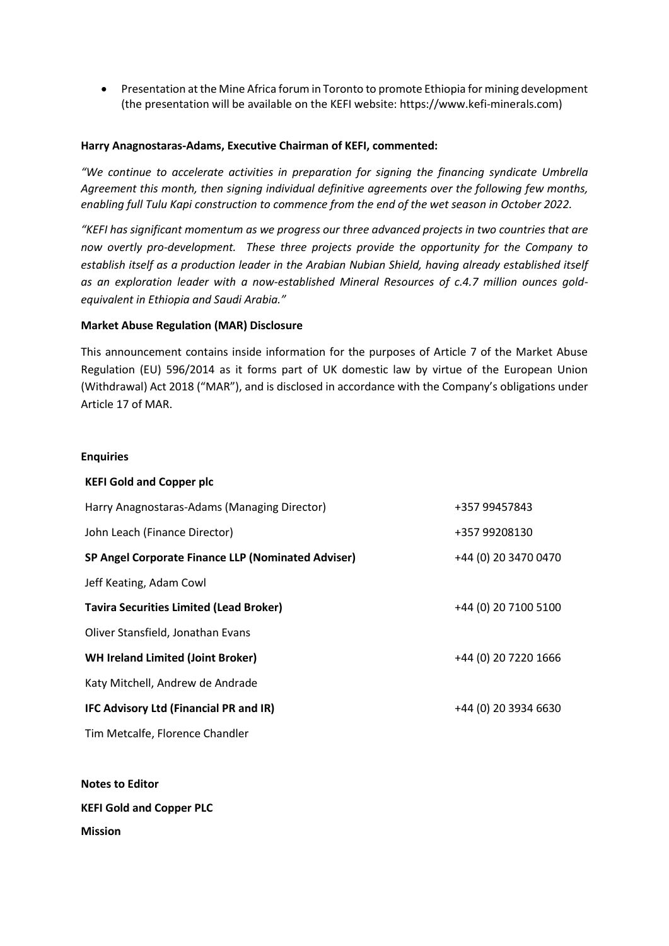• Presentation at the Mine Africa forum in Toronto to promote Ethiopia for mining development (the presentation will be available on the KEFI website: https://www.kefi-minerals.com)

#### **Harry Anagnostaras-Adams, Executive Chairman of KEFI, commented:**

*"We continue to accelerate activities in preparation for signing the financing syndicate Umbrella Agreement this month, then signing individual definitive agreements over the following few months, enabling full Tulu Kapi construction to commence from the end of the wet season in October 2022.* 

*"KEFI has significant momentum as we progress our three advanced projects in two countries that are now overtly pro-development. These three projects provide the opportunity for the Company to establish itself as a production leader in the Arabian Nubian Shield, having already established itself as an exploration leader with a now-established Mineral Resources of c.4.7 million ounces goldequivalent in Ethiopia and Saudi Arabia."*

# **Market Abuse Regulation (MAR) Disclosure**

This announcement contains inside information for the purposes of Article 7 of the Market Abuse Regulation (EU) 596/2014 as it forms part of UK domestic law by virtue of the European Union (Withdrawal) Act 2018 ("MAR"), and is disclosed in accordance with the Company's obligations under Article 17 of MAR.

#### **Enquiries**

| <b>KEFI Gold and Copper plc</b>                    |                      |
|----------------------------------------------------|----------------------|
| Harry Anagnostaras-Adams (Managing Director)       | +357 99457843        |
| John Leach (Finance Director)                      | +357 99208130        |
| SP Angel Corporate Finance LLP (Nominated Adviser) | +44 (0) 20 3470 0470 |
| Jeff Keating, Adam Cowl                            |                      |
| <b>Tavira Securities Limited (Lead Broker)</b>     | +44 (0) 20 7100 5100 |
| Oliver Stansfield, Jonathan Evans                  |                      |
| <b>WH Ireland Limited (Joint Broker)</b>           | +44 (0) 20 7220 1666 |
| Katy Mitchell, Andrew de Andrade                   |                      |
| IFC Advisory Ltd (Financial PR and IR)             | +44 (0) 20 3934 6630 |
| Tim Metcalfe, Florence Chandler                    |                      |
|                                                    |                      |

**Notes to Editor KEFI Gold and Copper PLC Mission**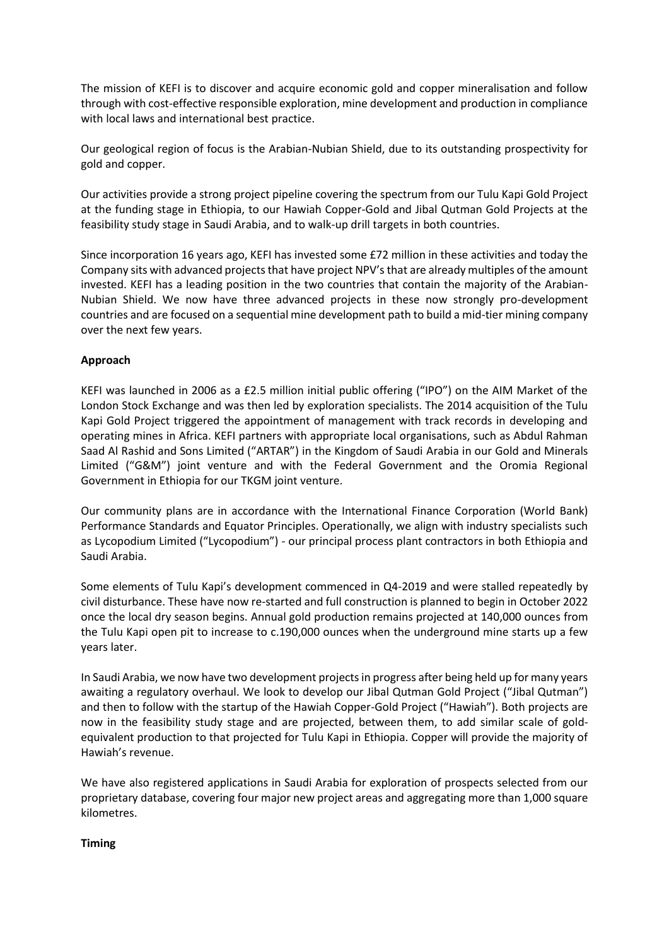The mission of KEFI is to discover and acquire economic gold and copper mineralisation and follow through with cost-effective responsible exploration, mine development and production in compliance with local laws and international best practice.

Our geological region of focus is the Arabian-Nubian Shield, due to its outstanding prospectivity for gold and copper.

Our activities provide a strong project pipeline covering the spectrum from our Tulu Kapi Gold Project at the funding stage in Ethiopia, to our Hawiah Copper-Gold and Jibal Qutman Gold Projects at the feasibility study stage in Saudi Arabia, and to walk-up drill targets in both countries.

Since incorporation 16 years ago, KEFI has invested some £72 million in these activities and today the Company sits with advanced projects that have project NPV's that are already multiples of the amount invested. KEFI has a leading position in the two countries that contain the majority of the Arabian-Nubian Shield. We now have three advanced projects in these now strongly pro-development countries and are focused on a sequential mine development path to build a mid-tier mining company over the next few years.

# **Approach**

KEFI was launched in 2006 as a £2.5 million initial public offering ("IPO") on the AIM Market of the London Stock Exchange and was then led by exploration specialists. The 2014 acquisition of the Tulu Kapi Gold Project triggered the appointment of management with track records in developing and operating mines in Africa. KEFI partners with appropriate local organisations, such as Abdul Rahman Saad Al Rashid and Sons Limited ("ARTAR") in the Kingdom of Saudi Arabia in our Gold and Minerals Limited ("G&M") joint venture and with the Federal Government and the Oromia Regional Government in Ethiopia for our TKGM joint venture.

Our community plans are in accordance with the International Finance Corporation (World Bank) Performance Standards and Equator Principles. Operationally, we align with industry specialists such as Lycopodium Limited ("Lycopodium") - our principal process plant contractors in both Ethiopia and Saudi Arabia.

Some elements of Tulu Kapi's development commenced in Q4-2019 and were stalled repeatedly by civil disturbance. These have now re-started and full construction is planned to begin in October 2022 once the local dry season begins. Annual gold production remains projected at 140,000 ounces from the Tulu Kapi open pit to increase to c.190,000 ounces when the underground mine starts up a few years later.

In Saudi Arabia, we now have two development projects in progress after being held up for many years awaiting a regulatory overhaul. We look to develop our Jibal Qutman Gold Project ("Jibal Qutman") and then to follow with the startup of the Hawiah Copper-Gold Project ("Hawiah"). Both projects are now in the feasibility study stage and are projected, between them, to add similar scale of goldequivalent production to that projected for Tulu Kapi in Ethiopia. Copper will provide the majority of Hawiah's revenue.

We have also registered applications in Saudi Arabia for exploration of prospects selected from our proprietary database, covering four major new project areas and aggregating more than 1,000 square kilometres.

#### **Timing**